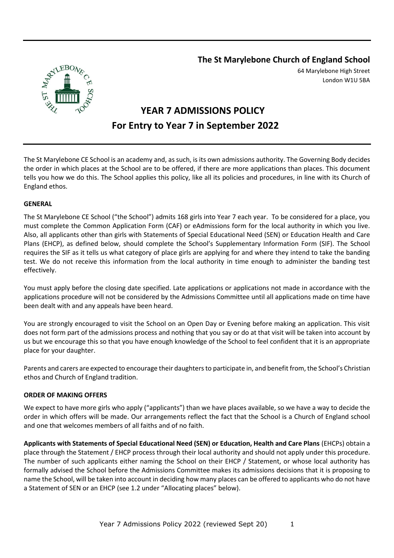**The St Marylebone Church of England School**



64 Marylebone High Street London W1U 5BA

# **YEAR 7 ADMISSIONS POLICY For Entry to Year 7 in September 2022**

The St Marylebone CE School is an academy and, as such, is its own admissions authority. The Governing Body decides the order in which places at the School are to be offered, if there are more applications than places. This document tells you how we do this. The School applies this policy, like all its policies and procedures, in line with its Church of England ethos.

## **GENERAL**

The St Marylebone CE School ("the School") admits 168 girls into Year 7 each year. To be considered for a place, you must complete the Common Application Form (CAF) or eAdmissions form for the local authority in which you live. Also, all applicants other than girls with Statements of Special Educational Need (SEN) or Education Health and Care Plans (EHCP), as defined below, should complete the School's Supplementary Information Form (SIF). The School requires the SIF as it tells us what category of place girls are applying for and where they intend to take the banding test. We do not receive this information from the local authority in time enough to administer the banding test effectively.

You must apply before the closing date specified. Late applications or applications not made in accordance with the applications procedure will not be considered by the Admissions Committee until all applications made on time have been dealt with and any appeals have been heard.

You are strongly encouraged to visit the School on an Open Day or Evening before making an application. This visit does not form part of the admissions process and nothing that you say or do at that visit will be taken into account by us but we encourage this so that you have enough knowledge of the School to feel confident that it is an appropriate place for your daughter.

Parents and carers are expected to encourage their daughters to participate in, and benefit from, the School's Christian ethos and Church of England tradition.

#### **ORDER OF MAKING OFFERS**

We expect to have more girls who apply ("applicants") than we have places available, so we have a way to decide the order in which offers will be made. Our arrangements reflect the fact that the School is a Church of England school and one that welcomes members of all faiths and of no faith.

**Applicants with Statements of Special Educational Need (SEN) or Education, Health and Care Plans** (EHCPs) obtain a place through the Statement / EHCP process through their local authority and should not apply under this procedure. The number of such applicants either naming the School on their EHCP / Statement, or whose local authority has formally advised the School before the Admissions Committee makes its admissions decisions that it is proposing to name the School, will be taken into account in deciding how many places can be offered to applicants who do not have a Statement of SEN or an EHCP (see 1.2 under "Allocating places" below).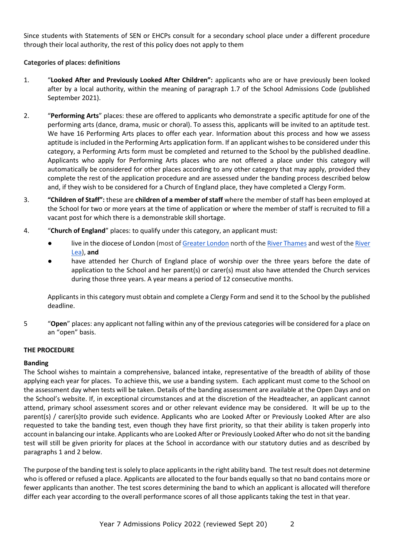Since students with Statements of SEN or EHCPs consult for a secondary school place under a different procedure through their local authority, the rest of this policy does not apply to them

## **Categories of places: definitions**

- 1. "**Looked After and Previously Looked After Children":** applicants who are or have previously been looked after by a local authority, within the meaning of paragraph 1.7 of the School Admissions Code (published September 2021).
- 2. "**Performing Arts**" places: these are offered to applicants who demonstrate a specific aptitude for one of the performing arts (dance, drama, music or choral). To assess this, applicants will be invited to an aptitude test. We have 16 Performing Arts places to offer each year. Information about this process and how we assess aptitude is included in the Performing Arts application form. If an applicant wishes to be considered under this category, a Performing Arts form must be completed and returned to the School by the published deadline. Applicants who apply for Performing Arts places who are not offered a place under this category will automatically be considered for other places according to any other category that may apply, provided they complete the rest of the application procedure and are assessed under the banding process described below and, if they wish to be considered for a Church of England place, they have completed a Clergy Form.
- 3. **"Children of Staff":** these are **children of a member of staff** where the member of staff has been employed at the School for two or more years at the time of application or where the member of staff is recruited to fill a vacant post for which there is a demonstrable skill shortage.
- 4. "**Church of England**" places: to qualify under this category, an applicant must:
	- live in the diocese of London (most of [Greater London](http://en.m.wikipedia.org/wiki/Greater_London) north of th[e River Thames](http://en.m.wikipedia.org/wiki/River_Thames) and west of th[e River](http://en.m.wikipedia.org/wiki/River_Lea)  [Lea\)](http://en.m.wikipedia.org/wiki/River_Lea), **and**
	- have attended her Church of England place of worship over the three years before the date of application to the School and her parent(s) or carer(s) must also have attended the Church services during those three years. A year means a period of 12 consecutive months.

Applicants in this category must obtain and complete a Clergy Form and send it to the School by the published deadline.

5 "**Open**" places: any applicant not falling within any of the previous categories will be considered for a place on an "open" basis.

## **THE PROCEDURE**

## **Banding**

The School wishes to maintain a comprehensive, balanced intake, representative of the breadth of ability of those applying each year for places. To achieve this, we use a banding system. Each applicant must come to the School on the assessment day when tests will be taken. Details of the banding assessment are available at the Open Days and on the School's website. If, in exceptional circumstances and at the discretion of the Headteacher, an applicant cannot attend, primary school assessment scores and or other relevant evidence may be considered. It will be up to the parent(s) / carer(s)to provide such evidence. Applicants who are Looked After or Previously Looked After are also requested to take the banding test, even though they have first priority, so that their ability is taken properly into account in balancing our intake. Applicants who are Looked After or Previously Looked After who do not sit the banding test will still be given priority for places at the School in accordance with our statutory duties and as described by paragraphs 1 and 2 below.

The purpose of the banding test is solely to place applicants in the right ability band. The test result does not determine who is offered or refused a place. Applicants are allocated to the four bands equally so that no band contains more or fewer applicants than another. The test scores determining the band to which an applicant is allocated will therefore differ each year according to the overall performance scores of all those applicants taking the test in that year.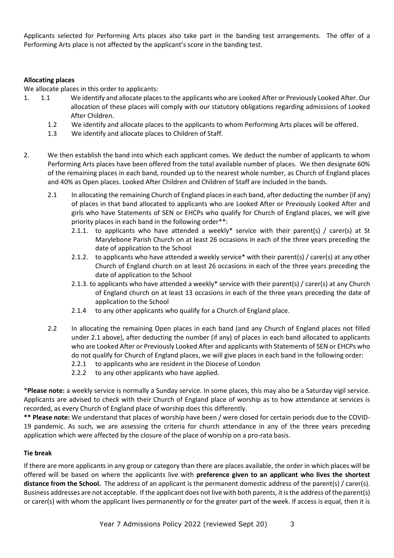Applicants selected for Performing Arts places also take part in the banding test arrangements. The offer of a Performing Arts place is not affected by the applicant's score in the banding test.

## **Allocating places**

We allocate places in this order to applicants:

- 1. 1.1 We identify and allocate places to the applicants who are Looked After or Previously Looked After. Our allocation of these places will comply with our statutory obligations regarding admissions of Looked After Children.
	- 1.2 We identify and allocate places to the applicants to whom Performing Arts places will be offered.
	- 1.3 We identify and allocate places to Children of Staff.
- 2. We then establish the band into which each applicant comes. We deduct the number of applicants to whom Performing Arts places have been offered from the total available number of places. We then designate 60% of the remaining places in each band, rounded up to the nearest whole number, as Church of England places and 40% as Open places. Looked After Children and Children of Staff are included in the bands.
	- 2.1 In allocating the remaining Church of England places in each band, after deducting the number (if any) of places in that band allocated to applicants who are Looked After or Previously Looked After and girls who have Statements of SEN or EHCPs who qualify for Church of England places, we will give priority places in each band in the following order\*\*:
		- 2.1.1. to applicants who have attended a weekly\* service with their parent(s) / carer(s) at St Marylebone Parish Church on at least 26 occasions in each of the three years preceding the date of application to the School
		- 2.1.2. to applicants who have attended a weekly service\* with their parent(s) / carer(s) at any other Church of England church on at least 26 occasions in each of the three years preceding the date of application to the School
		- 2.1.3. to applicants who have attended a weekly\* service with their parent(s) / carer(s) at any Church of England church on at least 13 occasions in each of the three years preceding the date of application to the School
		- 2.1.4 to any other applicants who qualify for a Church of England place.
	- 2.2 In allocating the remaining Open places in each band (and any Church of England places not filled under 2.1 above), after deducting the number (if any) of places in each band allocated to applicants who are Looked After or Previously Looked After and applicants with Statements of SEN or EHCPs who do not qualify for Church of England places, we will give places in each band in the following order:
		- 2.2.1 to applicants who are resident in the Diocese of London
		- 2.2.2 to any other applicants who have applied.

\***Please note:** a weekly service is normally a Sunday service. In some places, this may also be a Saturday vigil service. Applicants are advised to check with their Church of England place of worship as to how attendance at services is recorded, as every Church of England place of worship does this differently.

**\*\* Please note:** We understand that places of worship have been / were closed for certain periods due to the COVID-19 pandemic. As such, we are assessing the criteria for church attendance in any of the three years preceding application which were affected by the closure of the place of worship on a pro-rata basis.

#### **Tie break**

If there are more applicants in any group or category than there are places available, the order in which places will be offered will be based on where the applicants live with **preference given to an applicant who lives the shortest distance from the School.** The address of an applicant is the permanent domestic address of the parent(s) / carer(s). Business addresses are not acceptable. If the applicant does not live with both parents, it is the address of the parent(s) or carer(s) with whom the applicant lives permanently or for the greater part of the week. If access is equal, then it is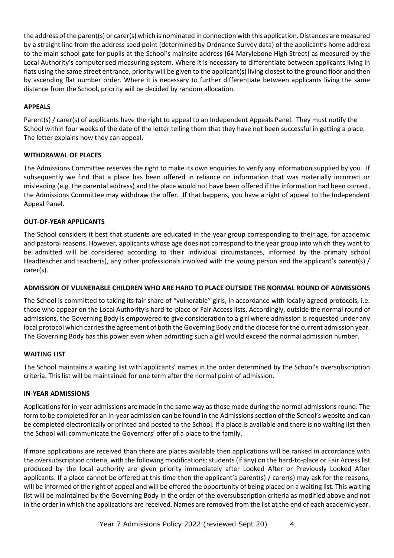the address of the parent(s) or carer(s) which is nominated in connection with this application. Distances are measured by a straight line from the address seed point (determined by Ordnance Survey data) of the applicant's home address to the main school gate for pupils at the School's mainsite address (64 Marylebone High Street) as measured by the Local Authority's computerised measuring system. Where it is necessary to differentiate between applicants living in flats using the same street entrance, priority will be given to the applicant(s) living closest to the ground floor and then by ascending flat number order. Where it is necessary to further differentiate between applicants living the same distance from the School, priority will be decided by random allocation.

## **APPEALS**

Parent(s) / carer(s) of applicants have the right to appeal to an Independent Appeals Panel. They must notify the School within four weeks of the date of the letter telling them that they have not been successful in getting a place. The letter explains how they can appeal.

## **WITHDRAWAL OF PLACES**

The Admissions Committee reserves the right to make its own enquiries to verify any information supplied by you. If subsequently we find that a place has been offered in reliance on information that was materially incorrect or misleading (e.g. the parental address) and the place would not have been offered if the information had been correct, the Admissions Committee may withdraw the offer. If that happens, you have a right of appeal to the Independent Appeal Panel.

## **OUT-OF-YEAR APPLICANTS**

The School considers it best that students are educated in the year group corresponding to their age, for academic and pastoral reasons. However, applicants whose age does not correspond to the year group into which they want to be admitted will be considered according to their individual circumstances, informed by the primary school Headteacher and teacher(s), any other professionals involved with the young person and the applicant's parent(s) / carer(s).

## **ADMISSION OF VULNERABLE CHILDREN WHO ARE HARD TO PLACE OUTSIDE THE NORMAL ROUND OF ADMISSIONS**

The School is committed to taking its fair share of "vulnerable" girls, in accordance with locally agreed protocols, i.e. those who appear on the Local Authority's hard-to-place or Fair Access lists. Accordingly, outside the normal round of admissions, the Governing Body is empowered to give consideration to a girl where admission is requested under any local protocol which carries the agreement of both the Governing Body and the diocese for the current admission year. The Governing Body has this power even when admitting such a girl would exceed the normal admission number.

## **WAITING LIST**

The School maintains a waiting list with applicants' names in the order determined by the School's oversubscription criteria. This list will be maintained for one term after the normal point of admission.

## **IN-YEAR ADMISSIONS**

Applications for in-year admissions are made in the same way as those made during the normal admissions round. The form to be completed for an in-year admission can be found in the Admissions section of the School's website and can be completed electronically or printed and posted to the School. If a place is available and there is no waiting list then the School will communicate the Governors' offer of a place to the family.

If more applications are received than there are places available then applications will be ranked in accordance with the oversubscription criteria, with the following modifications: students (if any) on the hard-to-place or Fair Access list produced by the local authority are given priority immediately after Looked After or Previously Looked After applicants. If a place cannot be offered at this time then the applicant's parent(s) / carer(s) may ask for the reasons, will be informed of the right of appeal and will be offered the opportunity of being placed on a waiting list. This waiting list will be maintained by the Governing Body in the order of the oversubscription criteria as modified above and not in the order in which the applications are received. Names are removed from the list at the end of each academic year.